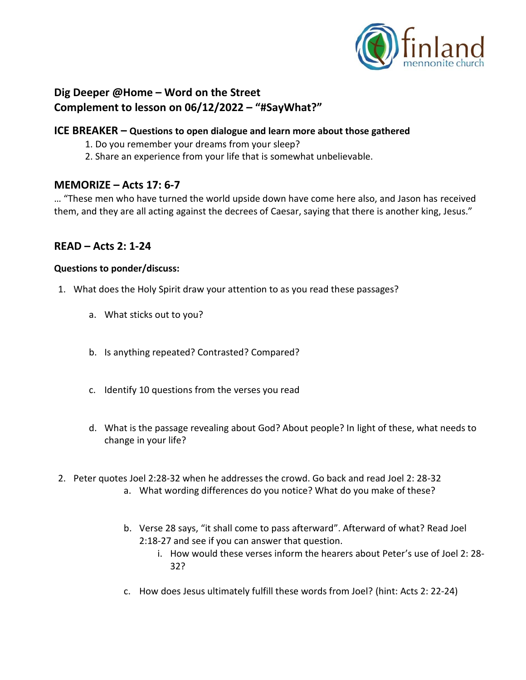

# **Dig Deeper @Home – Word on the Street Complement to lesson on 06/12/2022 – "#SayWhat?"**

### **ICE BREAKER – Questions to open dialogue and learn more about those gathered**

- 1. Do you remember your dreams from your sleep?
- 2. Share an experience from your life that is somewhat unbelievable.

## **MEMORIZE – Acts 17: 6-7**

… "These men who have turned the world upside down have come here also, and Jason has received them, and they are all acting against the decrees of Caesar, saying that there is another king, Jesus."

## **READ – Acts 2: 1-24**

#### **Questions to ponder/discuss:**

- 1. What does the Holy Spirit draw your attention to as you read these passages?
	- a. What sticks out to you?
	- b. Is anything repeated? Contrasted? Compared?
	- c. Identify 10 questions from the verses you read
	- d. What is the passage revealing about God? About people? In light of these, what needs to change in your life?
- 2. Peter quotes Joel 2:28-32 when he addresses the crowd. Go back and read Joel 2: 28-32
	- a. What wording differences do you notice? What do you make of these?
	- b. Verse 28 says, "it shall come to pass afterward". Afterward of what? Read Joel 2:18-27 and see if you can answer that question.
		- i. How would these verses inform the hearers about Peter's use of Joel 2: 28- 32?
	- c. How does Jesus ultimately fulfill these words from Joel? (hint: Acts 2: 22-24)